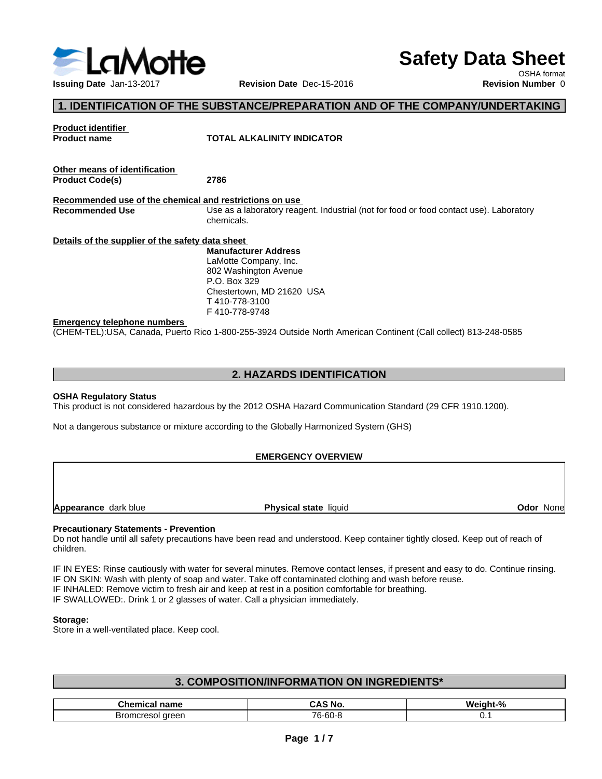

# **Safety Data Sheet**

OSHA format

# **1. IDENTIFICATION OF THE SUBSTANCE/PREPARATION AND OF THE COMPANY/UNDERTAKING**

| <b>Product identifier</b><br><b>Product name</b>        | TOTAL ALKALINITY INDICATOR                                                                                      |
|---------------------------------------------------------|-----------------------------------------------------------------------------------------------------------------|
|                                                         |                                                                                                                 |
| Other means of identification                           |                                                                                                                 |
| <b>Product Code(s)</b>                                  | 2786                                                                                                            |
| Recommended use of the chemical and restrictions on use |                                                                                                                 |
| <b>Recommended Use</b>                                  | Use as a laboratory reagent. Industrial (not for food or food contact use). Laboratory                          |
|                                                         | chemicals.                                                                                                      |
| Details of the supplier of the safety data sheet        |                                                                                                                 |
|                                                         | <b>Manufacturer Address</b>                                                                                     |
|                                                         | LaMotte Company, Inc.                                                                                           |
|                                                         | 802 Washington Avenue                                                                                           |
|                                                         | P.O. Box 329                                                                                                    |
|                                                         | Chestertown, MD 21620 USA                                                                                       |
|                                                         | T 410-778-3100                                                                                                  |
|                                                         | F410-778-9748                                                                                                   |
| <b>Emergency telephone numbers</b>                      |                                                                                                                 |
|                                                         | (CHEM-TEL):USA, Canada, Puerto Rico 1-800-255-3924 Outside North American Continent (Call collect) 813-248-0585 |

# **2. HAZARDS IDENTIFICATION**

## **OSHA Regulatory Status**

This product is not considered hazardous by the 2012 OSHA Hazard Communication Standard (29 CFR 1910.1200).

Not a dangerous substance or mixture according to the Globally Harmonized System (GHS)

## **EMERGENCY OVERVIEW**

**Appearance** dark blue **Physical state** liquid

**Odor** None

## **Precautionary Statements - Prevention**

Do not handle until all safety precautions have been read and understood. Keep container tightly closed. Keep out of reach of children.

IF IN EYES: Rinse cautiously with water for several minutes. Remove contact lenses, if present and easy to do. Continue rinsing. IF ON SKIN: Wash with plenty of soap and water. Take off contaminated clothing and wash before reuse. IF INHALED: Remove victim to fresh air and keep at rest in a position comfortable for breathing. IF SWALLOWED:. Drink 1 or 2 glasses of water. Call a physician immediately.

## **Storage:**

Store in a well-ventilated place. Keep cool.

| . COMPOSITION/INFORMATION ON INGREDIENTS*          |                  |  |  |  |  |  |  |
|----------------------------------------------------|------------------|--|--|--|--|--|--|
|                                                    |                  |  |  |  |  |  |  |
| <b>CAS No.</b><br><b>Chemical name</b><br>Weight-% |                  |  |  |  |  |  |  |
| Bromcresol green                                   | 76-60-8<br>ັບ. . |  |  |  |  |  |  |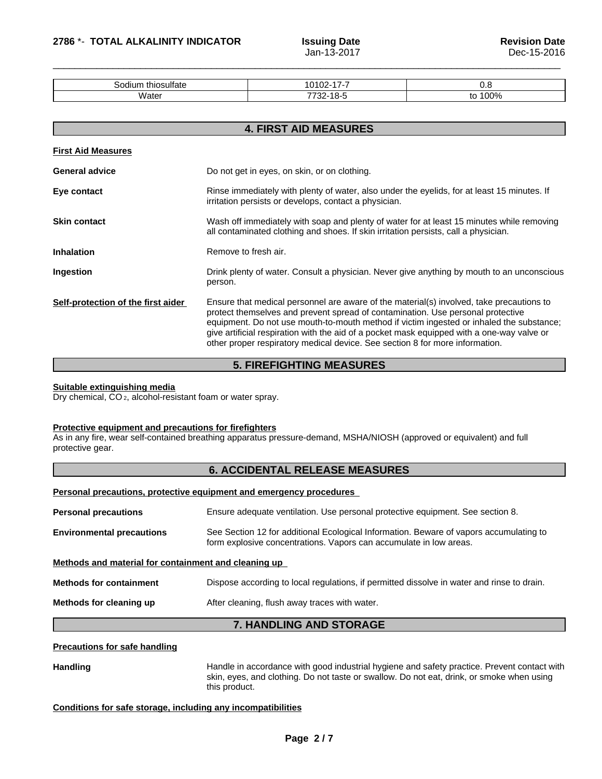| thiosulfate<br>Sodiun | .<br>٠л.<br>. .<br>. .<br>$\overline{\phantom{a}}$ | v.u                             |
|-----------------------|----------------------------------------------------|---------------------------------|
| Nate.                 | 7700<br>~-<br>. .<br>. .                           | 00%<br>$\overline{\phantom{a}}$ |

|                                    | <b>4. FIRST AID MEASURES</b>                                                                                                                                                                                                                                                                                                                                                                                                                          |
|------------------------------------|-------------------------------------------------------------------------------------------------------------------------------------------------------------------------------------------------------------------------------------------------------------------------------------------------------------------------------------------------------------------------------------------------------------------------------------------------------|
| <b>First Aid Measures</b>          |                                                                                                                                                                                                                                                                                                                                                                                                                                                       |
| <b>General advice</b>              | Do not get in eyes, on skin, or on clothing.                                                                                                                                                                                                                                                                                                                                                                                                          |
| Eye contact                        | Rinse immediately with plenty of water, also under the eyelids, for at least 15 minutes. If<br>irritation persists or develops, contact a physician.                                                                                                                                                                                                                                                                                                  |
| <b>Skin contact</b>                | Wash off immediately with soap and plenty of water for at least 15 minutes while removing<br>all contaminated clothing and shoes. If skin irritation persists, call a physician.                                                                                                                                                                                                                                                                      |
| <b>Inhalation</b>                  | Remove to fresh air.                                                                                                                                                                                                                                                                                                                                                                                                                                  |
| Ingestion                          | Drink plenty of water. Consult a physician. Never give anything by mouth to an unconscious<br>person.                                                                                                                                                                                                                                                                                                                                                 |
| Self-protection of the first aider | Ensure that medical personnel are aware of the material(s) involved, take precautions to<br>protect themselves and prevent spread of contamination. Use personal protective<br>equipment. Do not use mouth-to-mouth method if victim ingested or inhaled the substance;<br>give artificial respiration with the aid of a pocket mask equipped with a one-way valve or<br>other proper respiratory medical device. See section 8 for more information. |

# **5. FIREFIGHTING MEASURES**

## **Suitable extinguishing media**

Dry chemical, CO 2, alcohol-resistant foam or water spray.

## **Protective equipment and precautions for firefighters**

As in any fire, wear self-contained breathing apparatus pressure-demand, MSHA/NIOSH (approved or equivalent) and full protective gear.

## **6. ACCIDENTAL RELEASE MEASURES**

## **Personal precautions, protective equipment and emergency procedures**

| <b>Personal precautions</b><br>Ensure adequate ventilation. Use personal protective equipment. See section 8.                |                                                                                        |  |  |  |
|------------------------------------------------------------------------------------------------------------------------------|----------------------------------------------------------------------------------------|--|--|--|
| <b>Environmental precautions</b><br>form explosive concentrations. Vapors can accumulate in low areas.                       | See Section 12 for additional Ecological Information. Beware of vapors accumulating to |  |  |  |
| Methods and material for containment and cleaning up                                                                         |                                                                                        |  |  |  |
| <b>Methods for containment</b><br>Dispose according to local regulations, if permitted dissolve in water and rinse to drain. |                                                                                        |  |  |  |
| Methods for cleaning up<br>After cleaning, flush away traces with water.                                                     |                                                                                        |  |  |  |

# **7. HANDLING AND STORAGE**

## **Precautions for safe handling**

Handling **Handle** in accordance with good industrial hygiene and safety practice. Prevent contact with skin, eyes, and clothing. Do not taste or swallow. Do not eat, drink, or smoke when using this product.

## **Conditions for safe storage, including any incompatibilities**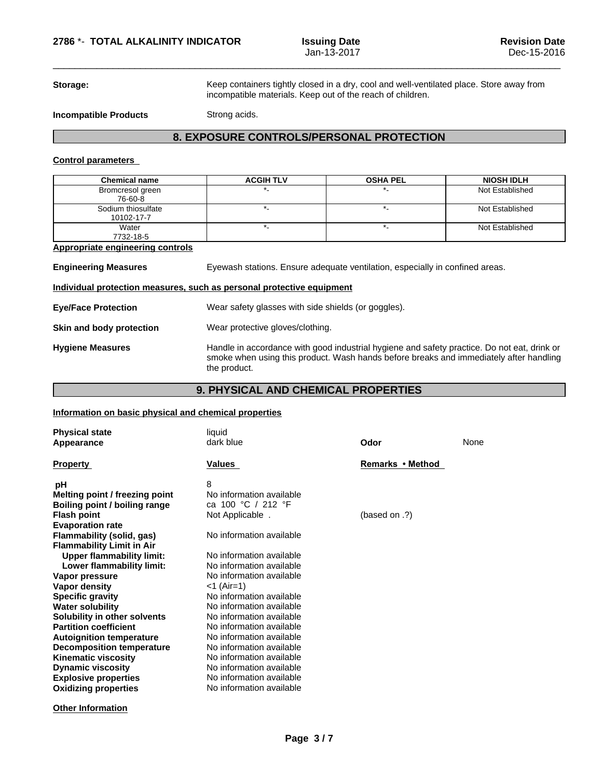**Storage:** Keep containers tightly closed in a dry, cool and well-ventilated place. Store away from incompatible materials. Keep out of the reach of children.

 $\overline{\phantom{a}}$  ,  $\overline{\phantom{a}}$  ,  $\overline{\phantom{a}}$  ,  $\overline{\phantom{a}}$  ,  $\overline{\phantom{a}}$  ,  $\overline{\phantom{a}}$  ,  $\overline{\phantom{a}}$  ,  $\overline{\phantom{a}}$  ,  $\overline{\phantom{a}}$  ,  $\overline{\phantom{a}}$  ,  $\overline{\phantom{a}}$  ,  $\overline{\phantom{a}}$  ,  $\overline{\phantom{a}}$  ,  $\overline{\phantom{a}}$  ,  $\overline{\phantom{a}}$  ,  $\overline{\phantom{a}}$ 

**Incompatible Products** Strong acids.

# **8. EXPOSURE CONTROLS/PERSONAL PROTECTION**

## **Control parameters**

| <b>Chemical name</b>                                                  | <b>ACGIH TLV</b>                                                                                                                                                                                      | <b>OSHA PEL</b> | <b>NIOSH IDLH</b> |  |  |
|-----------------------------------------------------------------------|-------------------------------------------------------------------------------------------------------------------------------------------------------------------------------------------------------|-----------------|-------------------|--|--|
| Bromcresol green<br>76-60-8                                           |                                                                                                                                                                                                       |                 | Not Established   |  |  |
| Sodium thiosulfate<br>10102-17-7                                      | $\star$ .                                                                                                                                                                                             | $^\star$ .      | Not Established   |  |  |
| Water<br>7732-18-5                                                    | $^\star$ .                                                                                                                                                                                            | $^\star$ .      | Not Established   |  |  |
| <b>Appropriate engineering controls</b>                               |                                                                                                                                                                                                       |                 |                   |  |  |
| <b>Engineering Measures</b>                                           | Eyewash stations. Ensure adequate ventilation, especially in confined areas.                                                                                                                          |                 |                   |  |  |
| Individual protection measures, such as personal protective equipment |                                                                                                                                                                                                       |                 |                   |  |  |
| <b>Eye/Face Protection</b>                                            | Wear safety glasses with side shields (or goggles).                                                                                                                                                   |                 |                   |  |  |
| Skin and body protection                                              | Wear protective gloves/clothing.                                                                                                                                                                      |                 |                   |  |  |
| <b>Hygiene Measures</b>                                               | Handle in accordance with good industrial hygiene and safety practice. Do not eat, drink or<br>smoke when using this product. Wash hands before breaks and immediately after handling<br>the product. |                 |                   |  |  |

# **9. PHYSICAL AND CHEMICAL PROPERTIES**

## **Information on basic physical and chemical properties**

| <b>Physical state</b><br>Appearance                                                                                                                                                                                                                                                                                                                                                                                                                                                                                                                                                      | liquid<br>dark blue                                                                                                                                                                                                                                                                                                                                                                                                                                              | Odor             | None |
|------------------------------------------------------------------------------------------------------------------------------------------------------------------------------------------------------------------------------------------------------------------------------------------------------------------------------------------------------------------------------------------------------------------------------------------------------------------------------------------------------------------------------------------------------------------------------------------|------------------------------------------------------------------------------------------------------------------------------------------------------------------------------------------------------------------------------------------------------------------------------------------------------------------------------------------------------------------------------------------------------------------------------------------------------------------|------------------|------|
| <b>Property</b>                                                                                                                                                                                                                                                                                                                                                                                                                                                                                                                                                                          | Values                                                                                                                                                                                                                                                                                                                                                                                                                                                           | Remarks • Method |      |
| рH<br>Melting point / freezing point<br>Boiling point / boiling range<br><b>Flash point</b><br><b>Evaporation rate</b><br>Flammability (solid, gas)<br><b>Flammability Limit in Air</b><br><b>Upper flammability limit:</b><br>Lower flammability limit:<br>Vapor pressure<br><b>Vapor density</b><br><b>Specific gravity</b><br><b>Water solubility</b><br>Solubility in other solvents<br><b>Partition coefficient</b><br><b>Autoignition temperature</b><br><b>Decomposition temperature</b><br><b>Kinematic viscosity</b><br><b>Dynamic viscosity</b><br><b>Explosive properties</b> | 8<br>No information available<br>ca 100 °C / 212 °F<br>Not Applicable.<br>No information available<br>No information available<br>No information available<br>No information available<br><1 (Air=1)<br>No information available<br>No information available<br>No information available<br>No information available<br>No information available<br>No information available<br>No information available<br>No information available<br>No information available | (based on .?)    |      |
| <b>Oxidizing properties</b>                                                                                                                                                                                                                                                                                                                                                                                                                                                                                                                                                              | No information available                                                                                                                                                                                                                                                                                                                                                                                                                                         |                  |      |

**Other Information**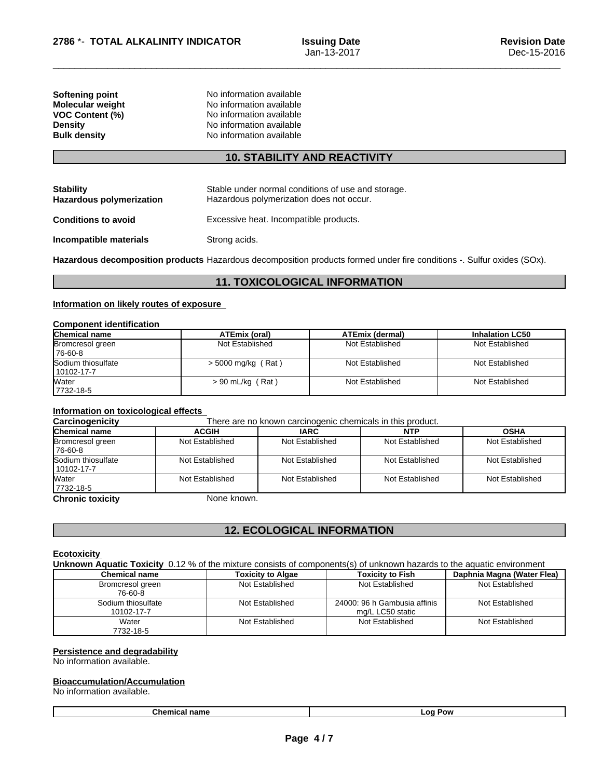| Softening point         | No information available |  |
|-------------------------|--------------------------|--|
| <b>Molecular weight</b> | No information available |  |
| <b>VOC Content (%)</b>  | No information available |  |
| <b>Density</b>          | No information available |  |
| <b>Bulk density</b>     | No information available |  |
|                         |                          |  |

## **10. STABILITY AND REACTIVITY**

| <b>Stability</b><br><b>Hazardous polymerization</b> | Stable under normal conditions of use and storage.<br>Hazardous polymerization does not occur. |
|-----------------------------------------------------|------------------------------------------------------------------------------------------------|
| <b>Conditions to avoid</b>                          | Excessive heat. Incompatible products.                                                         |
| Incompatible materials                              | Strong acids.                                                                                  |

**Hazardous decomposition products** Hazardous decomposition products formed under fire conditions -. Sulfur oxides (SOx).

# **11. TOXICOLOGICAL INFORMATION**

## **Information on likely routes of exposure**

## **Component identification**

| Chemical name                    | ATEmix (oral)        | <b>ATEmix (dermal)</b> | <b>Inhalation LC50</b> |
|----------------------------------|----------------------|------------------------|------------------------|
| Bromcresol green<br>176-60-8     | Not Established      | Not Established        | Not Established        |
| Sodium thiosulfate<br>10102-17-7 | $>$ 5000 mg/kg (Rat) | Not Established        | Not Established        |
| Water<br>7732-18-5               | $> 90$ mL/kg (Rat)   | Not Established        | Not Established        |

# **Information on toxicological effects**

**Carcinogenicity** There are no known carcinogenic chemicals in this product.

| <b>Chemical name</b>             | <b>ACGIH</b>    | <b>IARC</b>     | <b>NTP</b>      | <b>OSHA</b>     |
|----------------------------------|-----------------|-----------------|-----------------|-----------------|
| Bromcresol green<br>76-60-8      | Not Established | Not Established | Not Established | Not Established |
| Sodium thiosulfate<br>10102-17-7 | Not Established | Not Established | Not Established | Not Established |
| Water<br>7732-18-5               | Not Established | Not Established | Not Established | Not Established |
|                                  | $\blacksquare$  |                 |                 |                 |

**Chronic toxicity** None known.

# **12. ECOLOGICAL INFORMATION**

## **Ecotoxicity**

**Unknown Aquatic Toxicity** 0.12 % of the mixture consists of components(s) of unknown hazards to the aquatic environment

| <b>Chemical name</b> | <b>Toxicity to Algae</b> | <b>Toxicity to Fish</b>      | Daphnia Magna (Water Flea) |
|----------------------|--------------------------|------------------------------|----------------------------|
| Bromcresol green     | Not Established          | Not Established              | Not Established            |
| 76-60-8              |                          |                              |                            |
| Sodium thiosulfate   | Not Established          | 24000: 96 h Gambusia affinis | Not Established            |
| 10102-17-7           |                          | mg/L LC50 static             |                            |
| Water                | Not Established          | Not Established              | Not Established            |
| 7732-18-5            |                          |                              |                            |

## **Persistence and degradability**

No information available.

## **Bioaccumulation/Accumulation**

No information available.

**Chemical name Log Pow**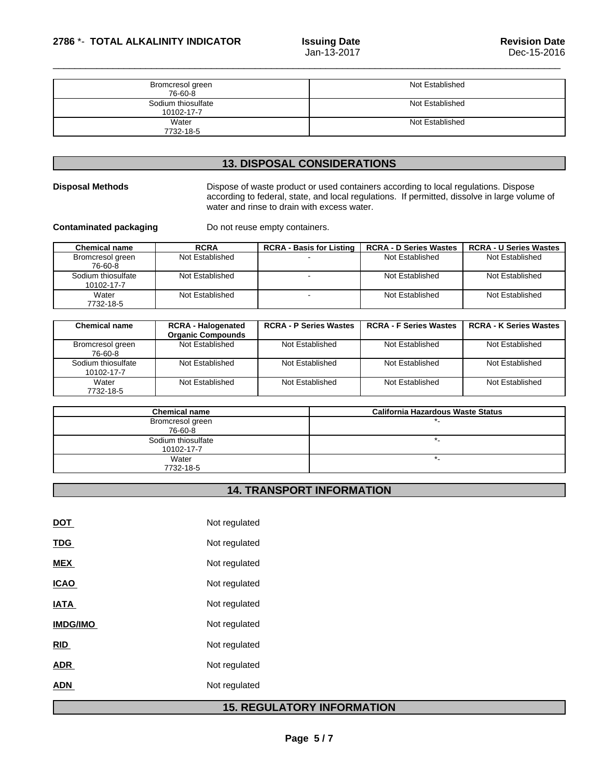| Bromcresol green<br>76-60-8      | Not Established |
|----------------------------------|-----------------|
| Sodium thiosulfate<br>10102-17-7 | Not Established |
| Water<br>7732-18-5               | Not Established |

# **13. DISPOSAL CONSIDERATIONS**

**Disposal Methods** Dispose of waste product or used containers according to local regulations. Dispose according to federal, state, and local regulations. If permitted, dissolve in large volume of water and rinse to drain with excess water.

**Contaminated packaging** Do not reuse empty containers.

| <b>Chemical name</b>             | <b>RCRA</b>     | <b>RCRA - Basis for Listing</b> | <b>RCRA - D Series Wastes</b> | <b>RCRA - U Series Wastes</b> |
|----------------------------------|-----------------|---------------------------------|-------------------------------|-------------------------------|
| Bromcresol green<br>76-60-8      | Not Established |                                 | Not Established               | Not Established               |
| Sodium thiosulfate<br>10102-17-7 | Not Established |                                 | Not Established               | Not Established               |
| Water<br>7732-18-5               | Not Established |                                 | Not Established               | Not Established               |

| <b>Chemical name</b>             | <b>RCRA - Halogenated</b><br><b>Organic Compounds</b> | <b>RCRA - P Series Wastes</b> | <b>RCRA - F Series Wastes</b> | <b>RCRA - K Series Wastes</b> |
|----------------------------------|-------------------------------------------------------|-------------------------------|-------------------------------|-------------------------------|
| Bromcresol green<br>76-60-8      | Not Established                                       | Not Established               | Not Established               | Not Established               |
| Sodium thiosulfate<br>10102-17-7 | Not Established                                       | Not Established               | Not Established               | Not Established               |
| Water<br>7732-18-5               | Not Established                                       | Not Established               | Not Established               | Not Established               |

| <b>Chemical name</b> | <b>California Hazardous Waste Status</b> |
|----------------------|------------------------------------------|
| Bromcresol green     |                                          |
| 76-60-8              |                                          |
| Sodium thiosulfate   |                                          |
| 10102-17-7           |                                          |
| Water                |                                          |
| 7732-18-5            |                                          |

# **14. TRANSPORT INFORMATION**

| DOT             | Not regulated |
|-----------------|---------------|
| <b>TDG</b>      | Not regulated |
| <b>MEX</b>      | Not regulated |
| <b>ICAO</b>     | Not regulated |
| <b>IATA</b>     | Not regulated |
| <b>IMDG/IMO</b> | Not regulated |
| RID             | Not regulated |
| <b>ADR</b>      | Not regulated |
| <b>ADN</b>      | Not regulated |
| л               |               |

# **15. REGULATORY INFORMATION**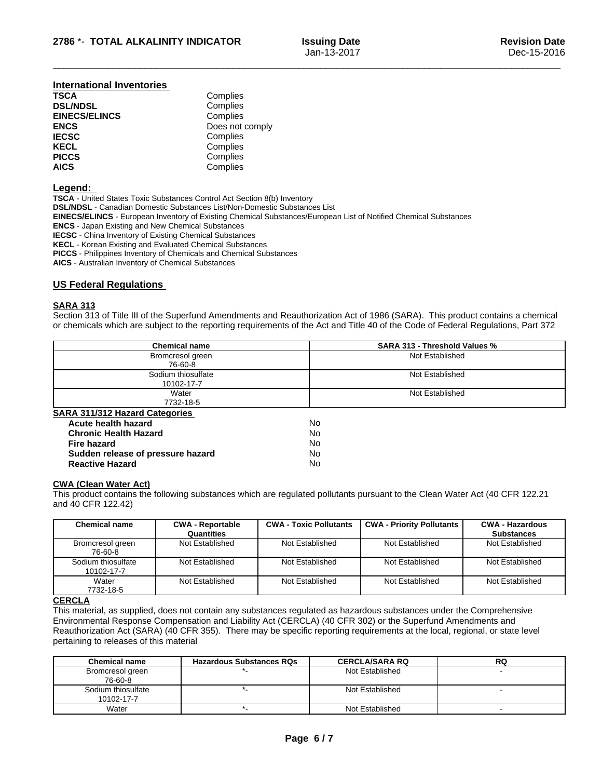## **International Inventories**

| <b>TSCA</b>          | Complies        |
|----------------------|-----------------|
| <b>DSL/NDSL</b>      | Complies        |
| <b>EINECS/ELINCS</b> | Complies        |
| <b>ENCS</b>          | Does not comply |
| <b>IECSC</b>         | Complies        |
| <b>KECL</b>          | Complies        |
| <b>PICCS</b>         | Complies        |
| <b>AICS</b>          | Complies        |

## **Legend:**

**TSCA** - United States Toxic Substances Control Act Section 8(b) Inventory **DSL/NDSL** - Canadian Domestic Substances List/Non-Domestic Substances List **EINECS/ELINCS** - European Inventory of Existing Chemical Substances/European List of Notified Chemical Substances **ENCS** - Japan Existing and New Chemical Substances **IECSC** - China Inventory of Existing Chemical Substances **KECL** - Korean Existing and Evaluated Chemical Substances **PICCS** - Philippines Inventory of Chemicals and Chemical Substances **AICS** - Australian Inventory of Chemical Substances

## **US Federal Regulations**

## **SARA 313**

Section 313 of Title III of the Superfund Amendments and Reauthorization Act of 1986 (SARA). This product contains a chemical or chemicals which are subject to the reporting requirements of the Act and Title 40 of the Code of Federal Regulations, Part 372

| <b>SARA 313 - Threshold Values %</b> |
|--------------------------------------|
| Not Established                      |
|                                      |
| Not Established                      |
|                                      |
| Not Established                      |
|                                      |
|                                      |
| No                                   |
| No                                   |
| No                                   |
| No                                   |
| No                                   |
|                                      |

## **CWA** (Clean Water Act)

This product contains the following substances which are regulated pollutants pursuant to the Clean Water Act (40 CFR 122.21 and 40 CFR 122.42)

| <b>Chemical name</b>             | <b>CWA - Reportable</b> | <b>CWA - Toxic Pollutants</b> | <b>CWA - Priority Pollutants</b> | <b>CWA - Hazardous</b> |
|----------------------------------|-------------------------|-------------------------------|----------------------------------|------------------------|
|                                  | Quantities              |                               |                                  | <b>Substances</b>      |
| Bromcresol green<br>76-60-8      | Not Established         | Not Established               | Not Established                  | Not Established        |
| Sodium thiosulfate<br>10102-17-7 | Not Established         | Not Established               | Not Established                  | Not Established        |
| Water<br>7732-18-5               | Not Established         | Not Established               | Not Established                  | Not Established        |

## **CERCLA**

This material, as supplied, does not contain any substances regulated as hazardous substances under the Comprehensive Environmental Response Compensation and Liability Act (CERCLA) (40 CFR 302) or the Superfund Amendments and Reauthorization Act (SARA) (40 CFR 355). There may be specific reporting requirements at the local, regional, or state level pertaining to releases of this material

| <b>Chemical name</b> | <b>Hazardous Substances RQs</b> | <b>CERCLA/SARA RQ</b> | RQ |
|----------------------|---------------------------------|-----------------------|----|
| Bromcresol green     |                                 | Not Established       |    |
| 76-60-8              |                                 |                       |    |
| Sodium thiosulfate   |                                 | Not Established       |    |
| 10102-17-7           |                                 |                       |    |
| Water                |                                 | Not Established       |    |